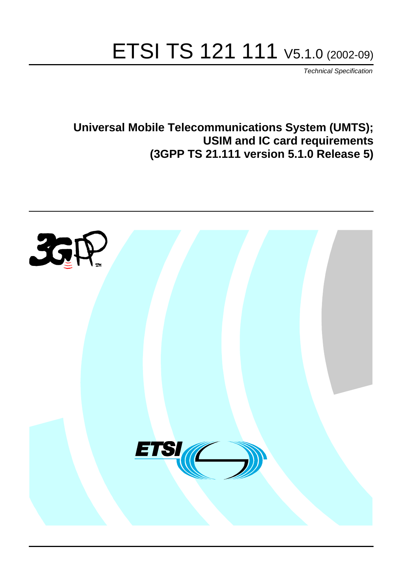# ETSI TS 121 111 V5.1.0 (2002-09)

Technical Specification

**Universal Mobile Telecommunications System (UMTS); USIM and IC card requirements (3GPP TS 21.111 version 5.1.0 Release 5)**

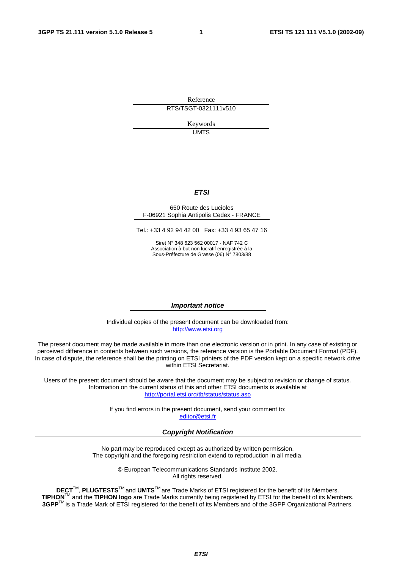Reference RTS/TSGT-0321111v510

> Keywords UMTS

#### **ETSI**

#### 650 Route des Lucioles F-06921 Sophia Antipolis Cedex - FRANCE

Tel.: +33 4 92 94 42 00 Fax: +33 4 93 65 47 16

Siret N° 348 623 562 00017 - NAF 742 C Association à but non lucratif enregistrée à la Sous-Préfecture de Grasse (06) N° 7803/88

#### **Important notice**

Individual copies of the present document can be downloaded from: [http://www.etsi.org](http://www.etsi.org/)

The present document may be made available in more than one electronic version or in print. In any case of existing or perceived difference in contents between such versions, the reference version is the Portable Document Format (PDF). In case of dispute, the reference shall be the printing on ETSI printers of the PDF version kept on a specific network drive within ETSI Secretariat.

Users of the present document should be aware that the document may be subject to revision or change of status. Information on the current status of this and other ETSI documents is available at <http://portal.etsi.org/tb/status/status.asp>

> If you find errors in the present document, send your comment to: [editor@etsi.fr](mailto:editor@etsi.fr)

#### **Copyright Notification**

No part may be reproduced except as authorized by written permission. The copyright and the foregoing restriction extend to reproduction in all media.

> © European Telecommunications Standards Institute 2002. All rights reserved.

**DECT**TM, **PLUGTESTS**TM and **UMTS**TM are Trade Marks of ETSI registered for the benefit of its Members. **TIPHON**TM and the **TIPHON logo** are Trade Marks currently being registered by ETSI for the benefit of its Members. **3GPP**TM is a Trade Mark of ETSI registered for the benefit of its Members and of the 3GPP Organizational Partners.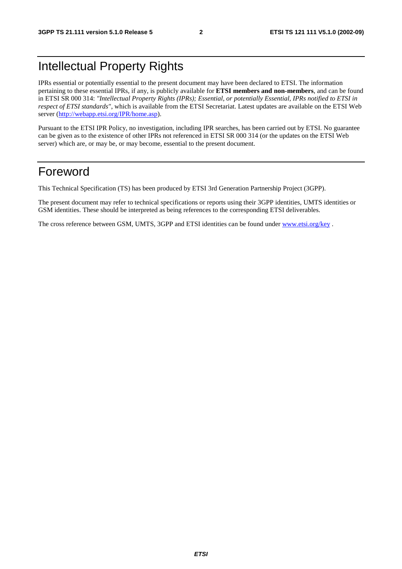### Intellectual Property Rights

IPRs essential or potentially essential to the present document may have been declared to ETSI. The information pertaining to these essential IPRs, if any, is publicly available for **ETSI members and non-members**, and can be found in ETSI SR 000 314: *"Intellectual Property Rights (IPRs); Essential, or potentially Essential, IPRs notified to ETSI in respect of ETSI standards"*, which is available from the ETSI Secretariat. Latest updates are available on the ETSI Web server ([http://webapp.etsi.org/IPR/home.asp\)](http://webapp.etsi.org/IPR/home.asp).

Pursuant to the ETSI IPR Policy, no investigation, including IPR searches, has been carried out by ETSI. No guarantee can be given as to the existence of other IPRs not referenced in ETSI SR 000 314 (or the updates on the ETSI Web server) which are, or may be, or may become, essential to the present document.

### Foreword

This Technical Specification (TS) has been produced by ETSI 3rd Generation Partnership Project (3GPP).

The present document may refer to technical specifications or reports using their 3GPP identities, UMTS identities or GSM identities. These should be interpreted as being references to the corresponding ETSI deliverables.

The cross reference between GSM, UMTS, 3GPP and ETSI identities can be found under [www.etsi.org/key](http://www.etsi.org/key) .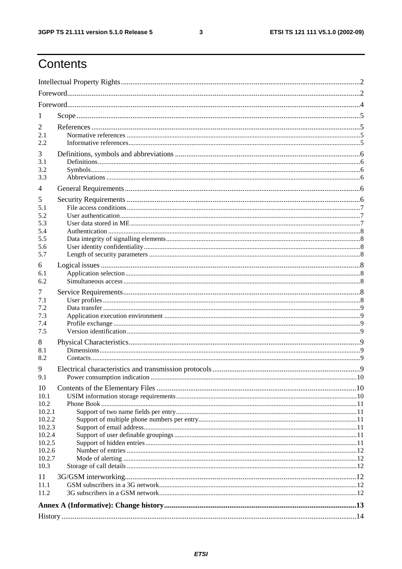$\mathbf{3}$ 

# Contents

| -1               |  |
|------------------|--|
| 2                |  |
| 2.1              |  |
| 2.2              |  |
| 3                |  |
| 3.1              |  |
| 3.2<br>3.3       |  |
|                  |  |
| 4                |  |
| 5<br>5.1         |  |
| 5.2              |  |
| 5.3              |  |
| 5.4              |  |
| 5.5              |  |
| 5.6              |  |
| 5.7              |  |
| 6                |  |
| 6.1              |  |
| 6.2              |  |
| 7                |  |
| 7.1              |  |
| 7.2              |  |
| 7.3<br>7.4       |  |
| 7.5              |  |
| 8                |  |
| 8.1              |  |
| 8.2              |  |
| 9                |  |
| 9.1              |  |
|                  |  |
| 10<br>10.1       |  |
| 10.2             |  |
| 10.2.1           |  |
| 10.2.2           |  |
| 10.2.3           |  |
| 10.2.4           |  |
| 10.2.5<br>10.2.6 |  |
| 10.2.7           |  |
| 10.3             |  |
| 11               |  |
| 11.1             |  |
| 11.2             |  |
|                  |  |
|                  |  |
|                  |  |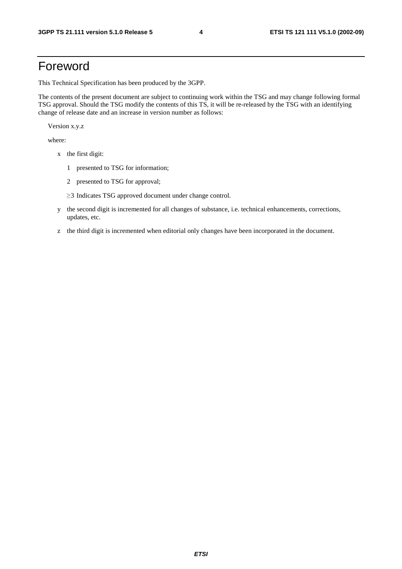### Foreword

This Technical Specification has been produced by the 3GPP.

The contents of the present document are subject to continuing work within the TSG and may change following formal TSG approval. Should the TSG modify the contents of this TS, it will be re-released by the TSG with an identifying change of release date and an increase in version number as follows:

Version x.y.z

where:

- x the first digit:
	- 1 presented to TSG for information;
	- 2 presented to TSG for approval;
	- $\geq$ 3 Indicates TSG approved document under change control.
- y the second digit is incremented for all changes of substance, i.e. technical enhancements, corrections, updates, etc.
- z the third digit is incremented when editorial only changes have been incorporated in the document.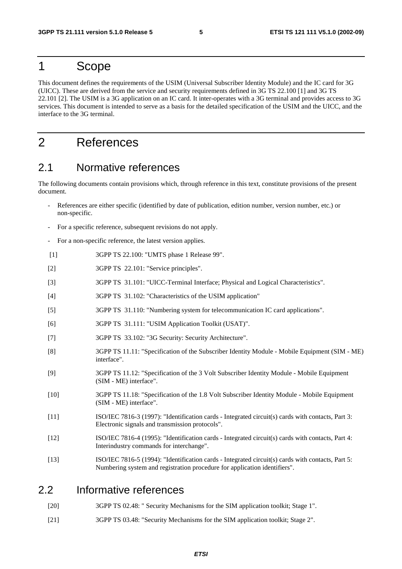#### 1 Scope

This document defines the requirements of the USIM (Universal Subscriber Identity Module) and the IC card for 3G (UICC). These are derived from the service and security requirements defined in 3G TS 22.100 [1] and 3G TS 22.101 [2]. The USIM is a 3G application on an IC card. It inter-operates with a 3G terminal and provides access to 3G services. This document is intended to serve as a basis for the detailed specification of the USIM and the UICC, and the interface to the 3G terminal.

### 2 References

#### 2.1 Normative references

The following documents contain provisions which, through reference in this text, constitute provisions of the present document.

- References are either specific (identified by date of publication, edition number, version number, etc.) or non-specific.
- For a specific reference, subsequent revisions do not apply.
- For a non-specific reference, the latest version applies.
- [1] 3GPP TS 22.100: "UMTS phase 1 Release 99".
- [2] 3GPP TS 22.101: "Service principles".
- [3] 3GPP TS 31.101: "UICC-Terminal Interface; Physical and Logical Characteristics".
- [4] 3GPP TS 31.102: "Characteristics of the USIM application"
- [5] 3GPP TS 31.110: "Numbering system for telecommunication IC card applications".
- [6] 3GPP TS 31.111: "USIM Application Toolkit (USAT)".
- [7] 3GPP TS 33.102: "3G Security: Security Architecture".
- [8] 3GPP TS 11.11: "Specification of the Subscriber Identity Module Mobile Equipment (SIM ME) interface".
- [9] 3GPP TS 11.12: "Specification of the 3 Volt Subscriber Identity Module Mobile Equipment (SIM - ME) interface".
- [10] 3GPP TS 11.18: "Specification of the 1.8 Volt Subscriber Identity Module Mobile Equipment (SIM - ME) interface".
- [11] ISO/IEC 7816-3 (1997): "Identification cards Integrated circuit(s) cards with contacts, Part 3: Electronic signals and transmission protocols".
- [12] ISO/IEC 7816-4 (1995): "Identification cards Integrated circuit(s) cards with contacts, Part 4: Interindustry commands for interchange".
- [13] ISO/IEC 7816-5 (1994): "Identification cards Integrated circuit(s) cards with contacts, Part 5: Numbering system and registration procedure for application identifiers".

#### 2.2 Informative references

- [20] 3GPP TS 02.48: " Security Mechanisms for the SIM application toolkit; Stage 1".
- [21] 3GPP TS 03.48: "Security Mechanisms for the SIM application toolkit; Stage 2".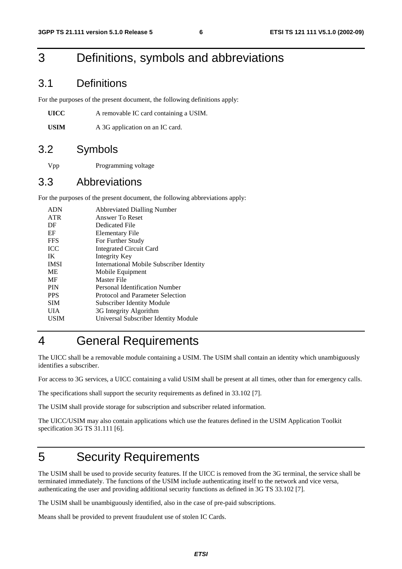### 3 Definitions, symbols and abbreviations

#### 3.1 Definitions

For the purposes of the present document, the following definitions apply:

| UICC | A removable IC card containing a USIM. |
|------|----------------------------------------|
|------|----------------------------------------|

USIM A 3G application on an IC card.

#### 3.2 Symbols

Vpp Programming voltage

#### 3.3 Abbreviations

For the purposes of the present document, the following abbreviations apply:

| <b>ADN</b>  | <b>Abbreviated Dialling Number</b>              |
|-------------|-------------------------------------------------|
| <b>ATR</b>  | Answer To Reset                                 |
| DF          | Dedicated File                                  |
| EF          | Elementary File                                 |
| <b>FFS</b>  | For Further Study                               |
| <b>ICC</b>  | <b>Integrated Circuit Card</b>                  |
| IK          | Integrity Key                                   |
| <b>IMSI</b> | <b>International Mobile Subscriber Identity</b> |
| ME          | Mobile Equipment                                |
| MF          | Master File                                     |
| <b>PIN</b>  | Personal Identification Number                  |
| <b>PPS</b>  | Protocol and Parameter Selection                |
| <b>SIM</b>  | <b>Subscriber Identity Module</b>               |
| UІА         | 3G Integrity Algorithm                          |
| USIM        | Universal Subscriber Identity Module            |
|             |                                                 |

### 4 General Requirements

The UICC shall be a removable module containing a USIM. The USIM shall contain an identity which unambiguously identifies a subscriber.

For access to 3G services, a UICC containing a valid USIM shall be present at all times, other than for emergency calls.

The specifications shall support the security requirements as defined in 33.102 [7].

The USIM shall provide storage for subscription and subscriber related information.

The UICC/USIM may also contain applications which use the features defined in the USIM Application Toolkit specification 3G TS 31.111 [6].

### 5 Security Requirements

The USIM shall be used to provide security features. If the UICC is removed from the 3G terminal, the service shall be terminated immediately. The functions of the USIM include authenticating itself to the network and vice versa, authenticating the user and providing additional security functions as defined in 3G TS 33.102 [7].

The USIM shall be unambiguously identified, also in the case of pre-paid subscriptions.

Means shall be provided to prevent fraudulent use of stolen IC Cards.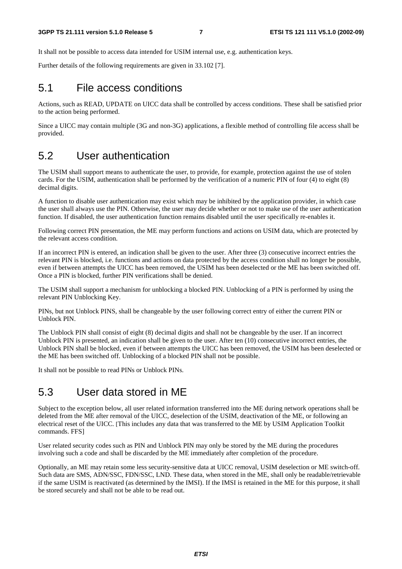It shall not be possible to access data intended for USIM internal use, e.g. authentication keys.

Further details of the following requirements are given in 33.102 [7].

#### 5.1 File access conditions

Actions, such as READ, UPDATE on UICC data shall be controlled by access conditions. These shall be satisfied prior to the action being performed.

Since a UICC may contain multiple (3G and non-3G) applications, a flexible method of controlling file access shall be provided.

#### 5.2 User authentication

The USIM shall support means to authenticate the user, to provide, for example, protection against the use of stolen cards. For the USIM, authentication shall be performed by the verification of a numeric PIN of four (4) to eight (8) decimal digits.

A function to disable user authentication may exist which may be inhibited by the application provider, in which case the user shall always use the PIN. Otherwise, the user may decide whether or not to make use of the user authentication function. If disabled, the user authentication function remains disabled until the user specifically re-enables it.

Following correct PIN presentation, the ME may perform functions and actions on USIM data, which are protected by the relevant access condition.

If an incorrect PIN is entered, an indication shall be given to the user. After three (3) consecutive incorrect entries the relevant PIN is blocked, i.e. functions and actions on data protected by the access condition shall no longer be possible, even if between attempts the UICC has been removed, the USIM has been deselected or the ME has been switched off. Once a PIN is blocked, further PIN verifications shall be denied.

The USIM shall support a mechanism for unblocking a blocked PIN. Unblocking of a PIN is performed by using the relevant PIN Unblocking Key.

PINs, but not Unblock PINS, shall be changeable by the user following correct entry of either the current PIN or Unblock PIN.

The Unblock PIN shall consist of eight (8) decimal digits and shall not be changeable by the user. If an incorrect Unblock PIN is presented, an indication shall be given to the user. After ten (10) consecutive incorrect entries, the Unblock PIN shall be blocked, even if between attempts the UICC has been removed, the USIM has been deselected or the ME has been switched off. Unblocking of a blocked PIN shall not be possible.

It shall not be possible to read PINs or Unblock PINs.

#### 5.3 User data stored in ME

Subject to the exception below, all user related information transferred into the ME during network operations shall be deleted from the ME after removal of the UICC, deselection of the USIM, deactivation of the ME, or following an electrical reset of the UICC. [This includes any data that was transferred to the ME by USIM Application Toolkit commands. FFS]

User related security codes such as PIN and Unblock PIN may only be stored by the ME during the procedures involving such a code and shall be discarded by the ME immediately after completion of the procedure.

Optionally, an ME may retain some less security-sensitive data at UICC removal, USIM deselection or ME switch-off. Such data are SMS, ADN/SSC, FDN/SSC, LND. These data, when stored in the ME, shall only be readable/retrievable if the same USIM is reactivated (as determined by the IMSI). If the IMSI is retained in the ME for this purpose, it shall be stored securely and shall not be able to be read out.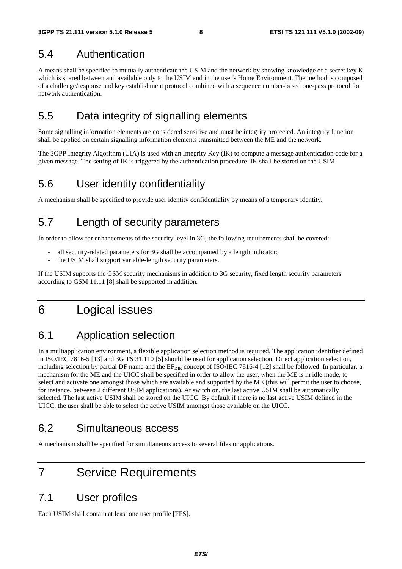#### 5.4 Authentication

A means shall be specified to mutually authenticate the USIM and the network by showing knowledge of a secret key K which is shared between and available only to the USIM and in the user's Home Environment. The method is composed of a challenge/response and key establishment protocol combined with a sequence number-based one-pass protocol for network authentication.

#### 5.5 Data integrity of signalling elements

Some signalling information elements are considered sensitive and must be integrity protected. An integrity function shall be applied on certain signalling information elements transmitted between the ME and the network.

The 3GPP Integrity Algorithm (UIA) is used with an Integrity Key (IK) to compute a message authentication code for a given message. The setting of IK is triggered by the authentication procedure. IK shall be stored on the USIM.

#### 5.6 User identity confidentiality

A mechanism shall be specified to provide user identity confidentiality by means of a temporary identity.

#### 5.7 Length of security parameters

In order to allow for enhancements of the security level in 3G, the following requirements shall be covered:

- all security-related parameters for 3G shall be accompanied by a length indicator;
- the USIM shall support variable-length security parameters.

If the USIM supports the GSM security mechanisms in addition to 3G security, fixed length security parameters according to GSM 11.11 [8] shall be supported in addition.

### 6 Logical issues

### 6.1 Application selection

In a multiapplication environment, a flexible application selection method is required. The application identifier defined in ISO/IEC 7816-5 [13] and 3G TS 31.110 [5] should be used for application selection. Direct application selection, including selection by partial DF name and the  $EF_{\text{DIR}}$  concept of ISO/IEC 7816-4 [12] shall be followed. In particular, a mechanism for the ME and the UICC shall be specified in order to allow the user, when the ME is in idle mode, to select and activate one amongst those which are available and supported by the ME (this will permit the user to choose, for instance, between 2 different USIM applications). At switch on, the last active USIM shall be automatically selected. The last active USIM shall be stored on the UICC. By default if there is no last active USIM defined in the UICC, the user shall be able to select the active USIM amongst those available on the UICC.

#### 6.2 Simultaneous access

A mechanism shall be specified for simultaneous access to several files or applications.

### 7 Service Requirements

#### 7.1 User profiles

Each USIM shall contain at least one user profile [FFS].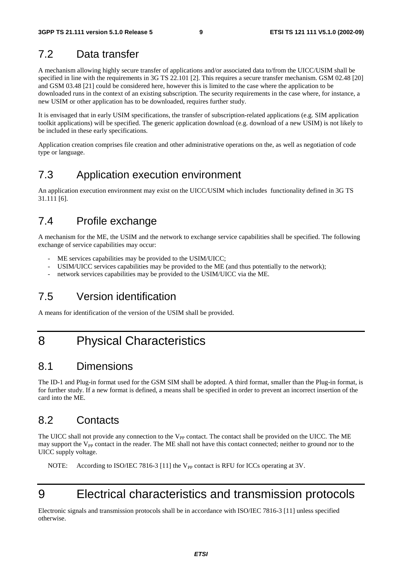#### 7.2 Data transfer

A mechanism allowing highly secure transfer of applications and/or associated data to/from the UICC/USIM shall be specified in line with the requirements in 3G TS 22.101 [2]. This requires a secure transfer mechanism. GSM 02.48 [20] and GSM 03.48 [21] could be considered here, however this is limited to the case where the application to be downloaded runs in the context of an existing subscription. The security requirements in the case where, for instance, a new USIM or other application has to be downloaded, requires further study.

It is envisaged that in early USIM specifications, the transfer of subscription-related applications (e.g. SIM application toolkit applications) will be specified. The generic application download (e.g. download of a new USIM) is not likely to be included in these early specifications.

Application creation comprises file creation and other administrative operations on the, as well as negotiation of code type or language.

#### 7.3 Application execution environment

An application execution environment may exist on the UICC/USIM which includes functionality defined in 3G TS 31.111 [6].

#### 7.4 Profile exchange

A mechanism for the ME, the USIM and the network to exchange service capabilities shall be specified. The following exchange of service capabilities may occur:

- ME services capabilities may be provided to the USIM/UICC;
- USIM/UICC services capabilities may be provided to the ME (and thus potentially to the network);
- network services capabilities may be provided to the USIM/UICC via the ME.

### 7.5 Version identification

A means for identification of the version of the USIM shall be provided.

### 8 Physical Characteristics

#### 8.1 Dimensions

The ID-1 and Plug-in format used for the GSM SIM shall be adopted. A third format, smaller than the Plug-in format, is for further study. If a new format is defined, a means shall be specified in order to prevent an incorrect insertion of the card into the ME.

#### 8.2 Contacts

The UICC shall not provide any connection to the V<sub>PP</sub> contact. The contact shall be provided on the UICC. The ME may support the  $V_{PP}$  contact in the reader. The ME shall not have this contact connected; neither to ground nor to the UICC supply voltage.

NOTE: According to ISO/IEC 7816-3 [11] the V<sub>PP</sub> contact is RFU for ICCs operating at 3V.

# 9 Electrical characteristics and transmission protocols

Electronic signals and transmission protocols shall be in accordance with ISO/IEC 7816-3 [11] unless specified otherwise.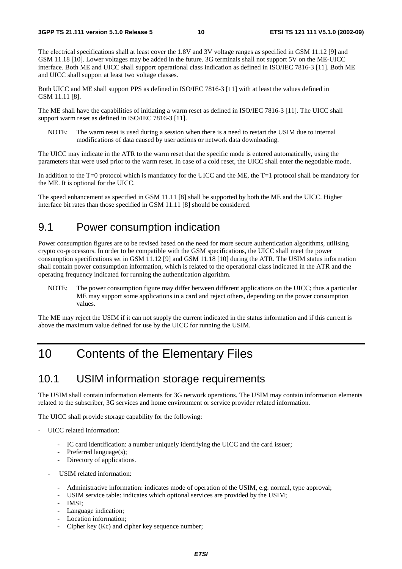The electrical specifications shall at least cover the 1.8V and 3V voltage ranges as specified in GSM 11.12 [9] and GSM 11.18 [10]. Lower voltages may be added in the future. 3G terminals shall not support 5V on the ME-UICC interface. Both ME and UICC shall support operational class indication as defined in ISO/IEC 7816-3 [11]. Both ME and UICC shall support at least two voltage classes.

Both UICC and ME shall support PPS as defined in ISO/IEC 7816-3 [11] with at least the values defined in GSM 11.11 [8].

The ME shall have the capabilities of initiating a warm reset as defined in ISO/IEC 7816-3 [11]. The UICC shall support warm reset as defined in ISO/IEC 7816-3 [11].

NOTE: The warm reset is used during a session when there is a need to restart the USIM due to internal modifications of data caused by user actions or network data downloading.

The UICC may indicate in the ATR to the warm reset that the specific mode is entered automatically, using the parameters that were used prior to the warm reset. In case of a cold reset, the UICC shall enter the negotiable mode.

In addition to the T=0 protocol which is mandatory for the UICC and the ME, the T=1 protocol shall be mandatory for the ME. It is optional for the UICC.

The speed enhancement as specified in GSM 11.11 [8] shall be supported by both the ME and the UICC. Higher interface bit rates than those specified in GSM 11.11 [8] should be considered.

#### 9.1 Power consumption indication

Power consumption figures are to be revised based on the need for more secure authentication algorithms, utilising crypto co-processors. In order to be compatible with the GSM specifications, the UICC shall meet the power consumption specifications set in GSM 11.12 [9] and GSM 11.18 [10] during the ATR. The USIM status information shall contain power consumption information, which is related to the operational class indicated in the ATR and the operating frequency indicated for running the authentication algorithm.

NOTE: The power consumption figure may differ between different applications on the UICC; thus a particular ME may support some applications in a card and reject others, depending on the power consumption values.

The ME may reject the USIM if it can not supply the current indicated in the status information and if this current is above the maximum value defined for use by the UICC for running the USIM.

### 10 Contents of the Elementary Files

#### 10.1 USIM information storage requirements

The USIM shall contain information elements for 3G network operations. The USIM may contain information elements related to the subscriber, 3G services and home environment or service provider related information.

The UICC shall provide storage capability for the following:

- UICC related information:
	- IC card identification: a number uniquely identifying the UICC and the card issuer;
	- Preferred language(s);
	- Directory of applications.
	- USIM related information:
		- Administrative information: indicates mode of operation of the USIM, e.g. normal, type approval;
		- USIM service table: indicates which optional services are provided by the USIM;
		- IMSI:
		- Language indication;
		- Location information;
		- Cipher key (Kc) and cipher key sequence number;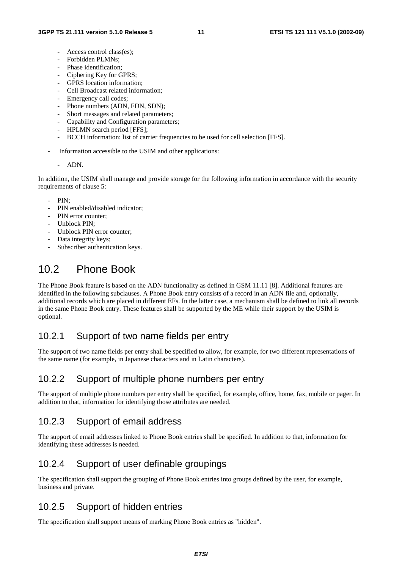- Access control class(es):
- Forbidden PLMNs:
- Phase identification;
- Ciphering Key for GPRS;
- GPRS location information;
- Cell Broadcast related information;
- Emergency call codes;
- Phone numbers (ADN, FDN, SDN);
- Short messages and related parameters;
- Capability and Configuration parameters;
- HPLMN search period [FFS];
- BCCH information: list of carrier frequencies to be used for cell selection [FFS].
- Information accessible to the USIM and other applications:

#### - ADN.

In addition, the USIM shall manage and provide storage for the following information in accordance with the security requirements of clause 5:

- $PIN$
- PIN enabled/disabled indicator;
- PIN error counter:
- Unblock PIN;
- Unblock PIN error counter:
- Data integrity keys;
- Subscriber authentication keys.

### 10.2 Phone Book

The Phone Book feature is based on the ADN functionality as defined in GSM 11.11 [8]. Additional features are identified in the following subclauses. A Phone Book entry consists of a record in an ADN file and, optionally, additional records which are placed in different EFs. In the latter case, a mechanism shall be defined to link all records in the same Phone Book entry. These features shall be supported by the ME while their support by the USIM is optional.

#### 10.2.1 Support of two name fields per entry

The support of two name fields per entry shall be specified to allow, for example, for two different representations of the same name (for example, in Japanese characters and in Latin characters).

#### 10.2.2 Support of multiple phone numbers per entry

The support of multiple phone numbers per entry shall be specified, for example, office, home, fax, mobile or pager. In addition to that, information for identifying those attributes are needed.

#### 10.2.3 Support of email address

The support of email addresses linked to Phone Book entries shall be specified. In addition to that, information for identifying these addresses is needed.

#### 10.2.4 Support of user definable groupings

The specification shall support the grouping of Phone Book entries into groups defined by the user, for example, business and private.

#### 10.2.5 Support of hidden entries

The specification shall support means of marking Phone Book entries as "hidden".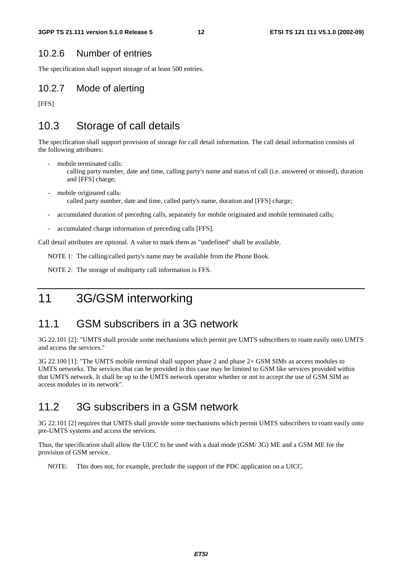#### 10.2.6 Number of entries

The specification shall support storage of at least 500 entries.

#### 10.2.7 Mode of alerting

[FFS]

#### 10.3 Storage of call details

The specification shall support provision of storage for call detail information. The call detail information consists of the following attributes:

- mobile terminated calls:
	- calling party number, date and time, calling party's name and status of call (i.e. answered or missed), duration and [FFS] charge;
- mobile originated calls: called party number, date and time, called party's name, duration and [FFS] charge;
- accumulated duration of preceding calls, separately for mobile originated and mobile terminated calls;
- accumulated charge information of preceding calls [FFS].

Call detail attributes are optional. A value to mark them as "undefined" shall be available.

NOTE 1: The calling/called party's name may be available from the Phone Book.

NOTE 2: The storage of multiparty call information is FFS.

### 11 3G/GSM interworking

#### 11.1 GSM subscribers in a 3G network

3G 22.101 [2]: "UMTS shall provide some mechanisms which permit pre UMTS subscribers to roam easily onto UMTS and access the services."

3G 22.100 [1]: "The UMTS mobile terminal shall support phase 2 and phase 2+ GSM SIMs as access modules to UMTS networks. The services that can be provided in this case may be limited to GSM like services provided within that UMTS network. It shall be up to the UMTS network operator whether or not to accept the use of GSM SIM as access modules in its network".

#### 11.2 3G subscribers in a GSM network

3G 22.101 [2] requires that UMTS shall provide some mechanisms which permit UMTS subscribers to roam easily onto pre-UMTS systems and access the services.

Thus, the specification shall allow the UICC to be used with a dual mode (GSM/ 3G) ME and a GSM ME for the provision of GSM service.

NOTE: This does not, for example, preclude the support of the PDC application on a UICC.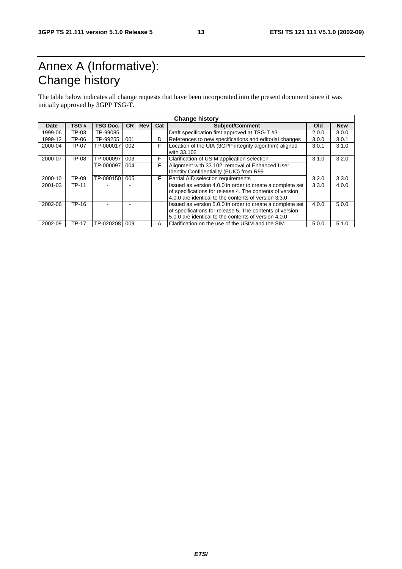# Annex A (Informative): Change history

The table below indicates all change requests that have been incorporated into the present document since it was initially approved by 3GPP TSG-T.

| <b>Change history</b> |              |                 |           |     |     |                                                                                                                                                                               |       |            |
|-----------------------|--------------|-----------------|-----------|-----|-----|-------------------------------------------------------------------------------------------------------------------------------------------------------------------------------|-------|------------|
| Date                  | TSG#         | <b>TSG Doc.</b> | <b>CR</b> | Rev | Cat | <b>Subject/Comment</b>                                                                                                                                                        | Old   | <b>New</b> |
| 1999-06               | TP-03        | TP-99085        |           |     |     | Draft specification first approved at TSG-T #3                                                                                                                                | 2.0.0 | 3.0.0      |
| 1999-12               | TP-06        | TP-99255        | 001       |     | D   | References to new specifications and editorial changes                                                                                                                        | 3.0.0 | 3.0.1      |
| 2000-04               | TP-07        | TP-000017       | 002       |     | F   | Location of the UIA (3GPP integrity algorithm) aligned<br>with 33.102                                                                                                         | 3.0.1 | 3.1.0      |
| 2000-07               | TP-08        | TP-000097       | 003       |     | F   | Clarification of USIM application selection                                                                                                                                   | 3.1.0 | 3.2.0      |
|                       |              | TP-000097       | 004       |     | F   | Alignment with 33.102: removal of Enhanced User                                                                                                                               |       |            |
|                       |              |                 |           |     |     | Identity Confidentiality (EUIC) from R99                                                                                                                                      |       |            |
| 2000-10               | TP-09        | TP-000150       | 005       |     | F   | Partial AID selection requirements                                                                                                                                            | 3.2.0 | 3.3.0      |
| 2001-03               | <b>TP-11</b> |                 |           |     |     | Issued as version 4.0.0 in order to create a complete set<br>of specifications for release 4. The contents of version<br>4.0.0 are identical to the contents of version 3.3.0 | 3.3.0 | 4.0.0      |
| 2002-06               | TP-16        |                 |           |     |     | Issued as version 5.0.0 in order to create a complete set<br>of specifications for release 5. The contents of version<br>5.0.0 are identical to the contents of version 4.0.0 | 4.0.0 | 5.0.0      |
| 2002-09               | <b>TP-17</b> | TP-020208       | 009       |     | Α   | Clarification on the use of the USIM and the SIM                                                                                                                              | 5.0.0 | 5.1.0      |